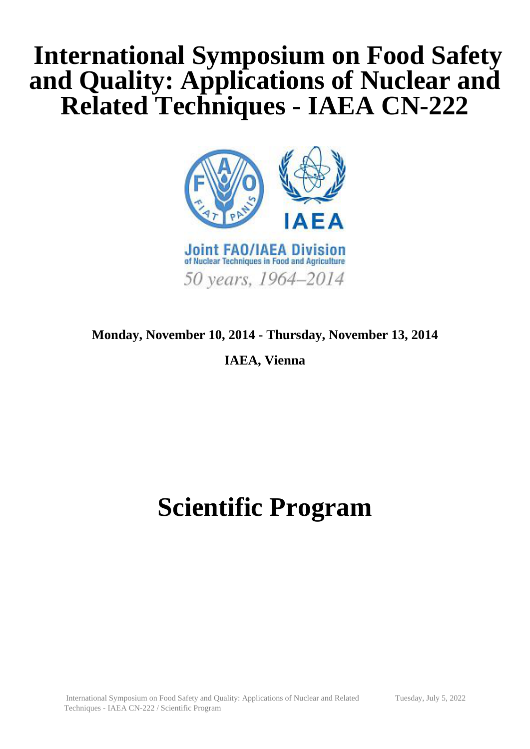## **International Symposium on Food Safety and Quality: Applications of Nuclear and Related Techniques - IAEA CN-222**



#### **Monday, November 10, 2014 - Thursday, November 13, 2014**

**IAEA, Vienna**

# **Scientific Program**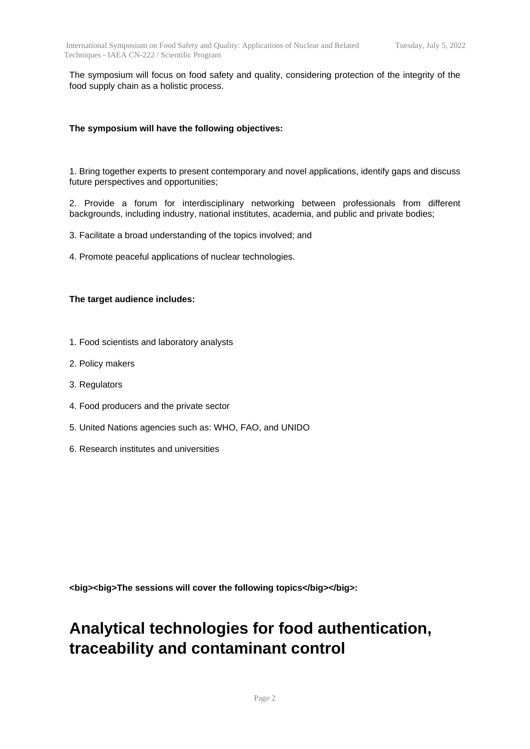The symposium will focus on food safety and quality, considering protection of the integrity of the food supply chain as a holistic process.

#### **The symposium will have the following objectives:**

1. Bring together experts to present contemporary and novel applications, identify gaps and discuss future perspectives and opportunities;

2. Provide a forum for interdisciplinary networking between professionals from different backgrounds, including industry, national institutes, academia, and public and private bodies;

- 3. Facilitate a broad understanding of the topics involved; and
- 4. Promote peaceful applications of nuclear technologies.

#### **The target audience includes:**

- 1. Food scientists and laboratory analysts
- 2. Policy makers
- 3. Regulators
- 4. Food producers and the private sector
- 5. United Nations agencies such as: WHO, FAO, and UNIDO
- 6. Research institutes and universities

**<big><big>The sessions will cover the following topics</big></big>:**

#### **Analytical technologies for food authentication, traceability and contaminant control**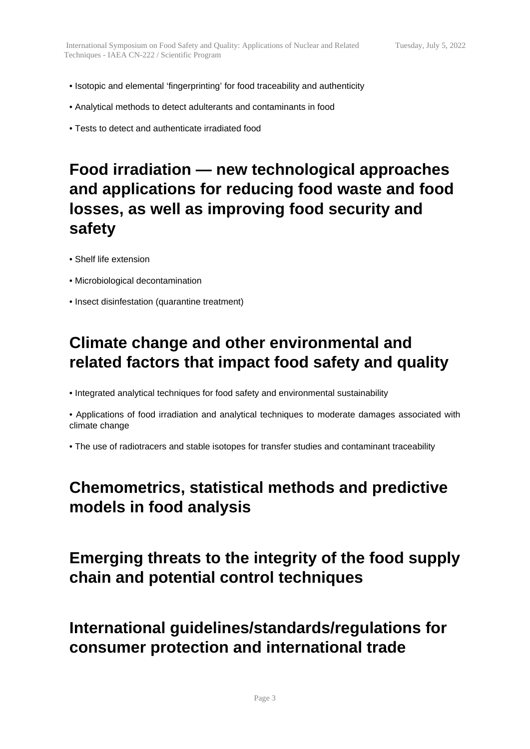- Isotopic and elemental 'fingerprinting' for food traceability and authenticity
- Analytical methods to detect adulterants and contaminants in food
- Tests to detect and authenticate irradiated food

## **Food irradiation — new technological approaches and applications for reducing food waste and food losses, as well as improving food security and safety**

- Shelf life extension
- Microbiological decontamination
- Insect disinfestation (quarantine treatment)

### **Climate change and other environmental and related factors that impact food safety and quality**

• Integrated analytical techniques for food safety and environmental sustainability

• Applications of food irradiation and analytical techniques to moderate damages associated with climate change

• The use of radiotracers and stable isotopes for transfer studies and contaminant traceability

#### **Chemometrics, statistical methods and predictive models in food analysis**

**Emerging threats to the integrity of the food supply chain and potential control techniques**

### **International guidelines/standards/regulations for consumer protection and international trade**